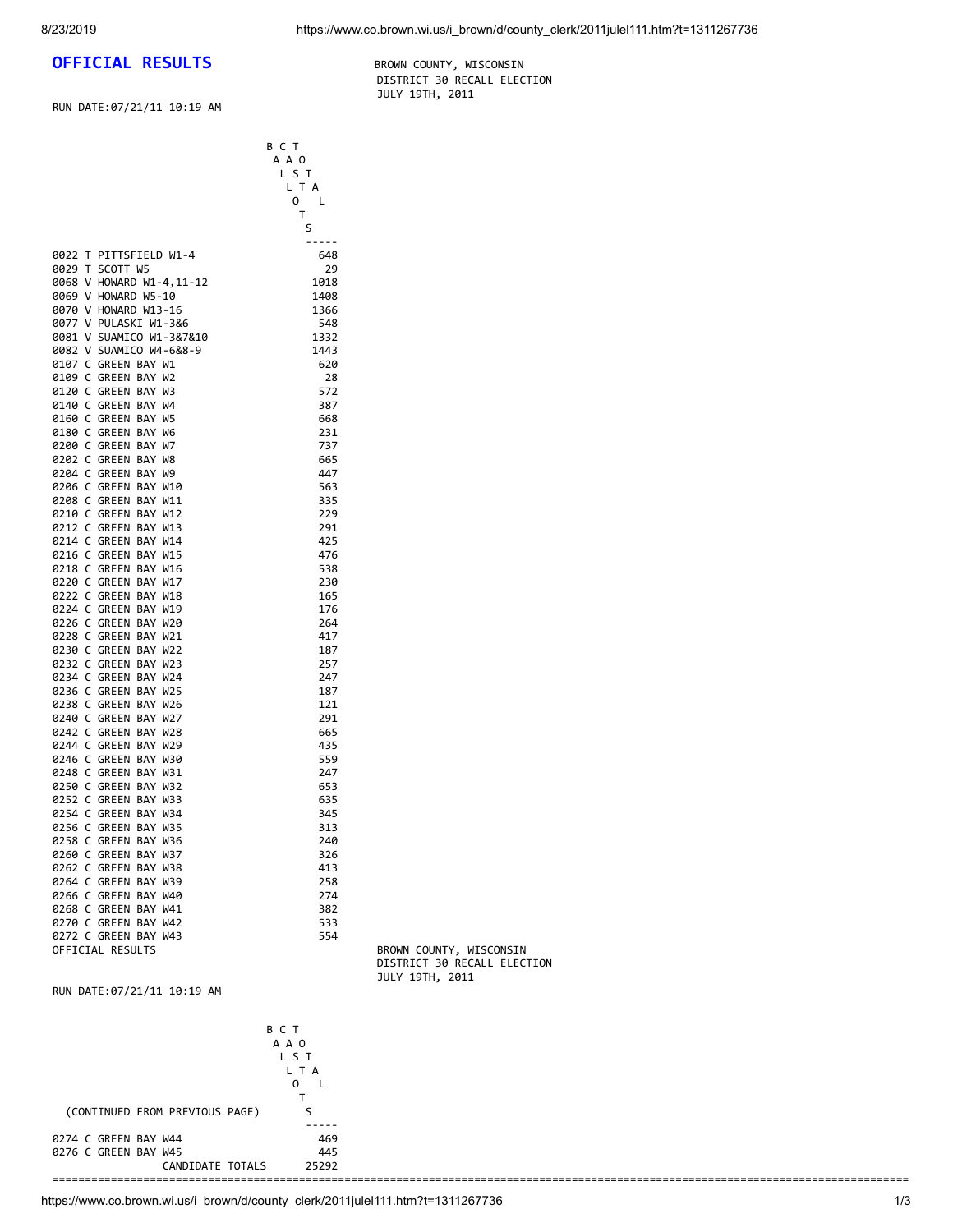## **OFFICIAL RESULTS** BROWN COUNTY, WISCONSIN

RUN DATE:07/21/11 10:19 AM

 B C T A A O  DISTRICT 30 RECALL ELECTION JULY 19TH, 2011

|                          | LST    |                         |
|--------------------------|--------|-------------------------|
|                          | L T A  |                         |
|                          | 0<br>L |                         |
|                          | T      |                         |
|                          | S      |                         |
|                          | -----  |                         |
| 0022 T PITTSFIELD W1-4   | 648    |                         |
| 0029 T SCOTT W5          | 29     |                         |
| 0068 V HOWARD W1-4,11-12 | 1018   |                         |
| 0069 V HOWARD W5-10      | 1408   |                         |
| 0070 V HOWARD W13-16     | 1366   |                         |
| 0077 V PULASKI W1-3&6    | 548    |                         |
| 0081 V SUAMICO W1-3&7&10 | 1332   |                         |
| 0082 V SUAMICO W4-6&8-9  | 1443   |                         |
| 0107 C GREEN BAY W1      | 620    |                         |
| 0109 C GREEN BAY W2      |        |                         |
|                          | 28     |                         |
| 0120 C GREEN BAY W3      | 572    |                         |
| 0140 C GREEN BAY W4      | 387    |                         |
| 0160 C GREEN BAY W5      | 668    |                         |
| 0180 C GREEN BAY W6      | 231    |                         |
| 0200 C GREEN BAY W7      | 737    |                         |
| 0202 C GREEN BAY W8      | 665    |                         |
| 0204 C GREEN BAY W9      | 447    |                         |
| 0206 C GREEN BAY W10     | 563    |                         |
| 0208 C GREEN BAY W11     | 335    |                         |
| 0210 C GREEN BAY W12     | 229    |                         |
| 0212 C GREEN BAY W13     | 291    |                         |
| 0214 C GREEN BAY W14     | 425    |                         |
| 0216 C GREEN BAY W15     | 476    |                         |
| 0218 C GREEN BAY W16     | 538    |                         |
| 0220 C GREEN BAY W17     | 230    |                         |
| 0222 C GREEN BAY W18     | 165    |                         |
| 0224 C GREEN BAY W19     | 176    |                         |
| 0226 C GREEN BAY W20     | 264    |                         |
| 0228 C GREEN BAY W21     | 417    |                         |
| 0230 C GREEN BAY W22     | 187    |                         |
| 0232 C GREEN BAY W23     | 257    |                         |
| 0234 C GREEN BAY W24     | 247    |                         |
| 0236 C GREEN BAY W25     | 187    |                         |
| 0238 C GREEN BAY W26     | 121    |                         |
| 0240 C GREEN BAY W27     | 291    |                         |
| 0242 C GREEN BAY W28     | 665    |                         |
| 0244 C GREEN BAY W29     | 435    |                         |
| 0246 C GREEN BAY W30     | 559    |                         |
| 0248 C GREEN BAY W31     | 247    |                         |
| 0250 C GREEN BAY W32     | 653    |                         |
| 0252 C GREEN BAY W33     | 635    |                         |
| 0254 C GREEN BAY W34     | 345    |                         |
| 0256 C GREEN BAY W35     | 313    |                         |
| 0258 C GREEN BAY W36     | 240    |                         |
| 0260 C GREEN BAY W37     | 326    |                         |
| 0262 C GREEN BAY W38     | 413    |                         |
| 0264 C GREEN BAY W39     | 258    |                         |
| 0266 C GREEN BAY W40     | 274    |                         |
| 0268 C GREEN BAY W41     | 382    |                         |
| 0270 C GREEN BAY W42     | 533    |                         |
| 0272 C GREEN BAY W43     | 554    |                         |
| OFFICIAL RESULTS         |        | BROWN COUNTY, WISCONSIN |
|                          |        |                         |

DISTRICT 30 RECALL ELECTION JULY 19TH, 2011

RUN DATE:07/21/11 10:19 AM

|                                | BCT       |  |
|--------------------------------|-----------|--|
|                                | A A O     |  |
|                                | L S T     |  |
|                                | L T A     |  |
|                                | $\Omega$  |  |
|                                |           |  |
| (CONTINUED FROM PREVIOUS PAGE) |           |  |
|                                | - - - - - |  |
| 0274 C GREEN BAY W44           | 469       |  |
| 0276 C GREEN BAY W45           | 445       |  |
| CANDIDATE TOTALS               | 25292     |  |
|                                |           |  |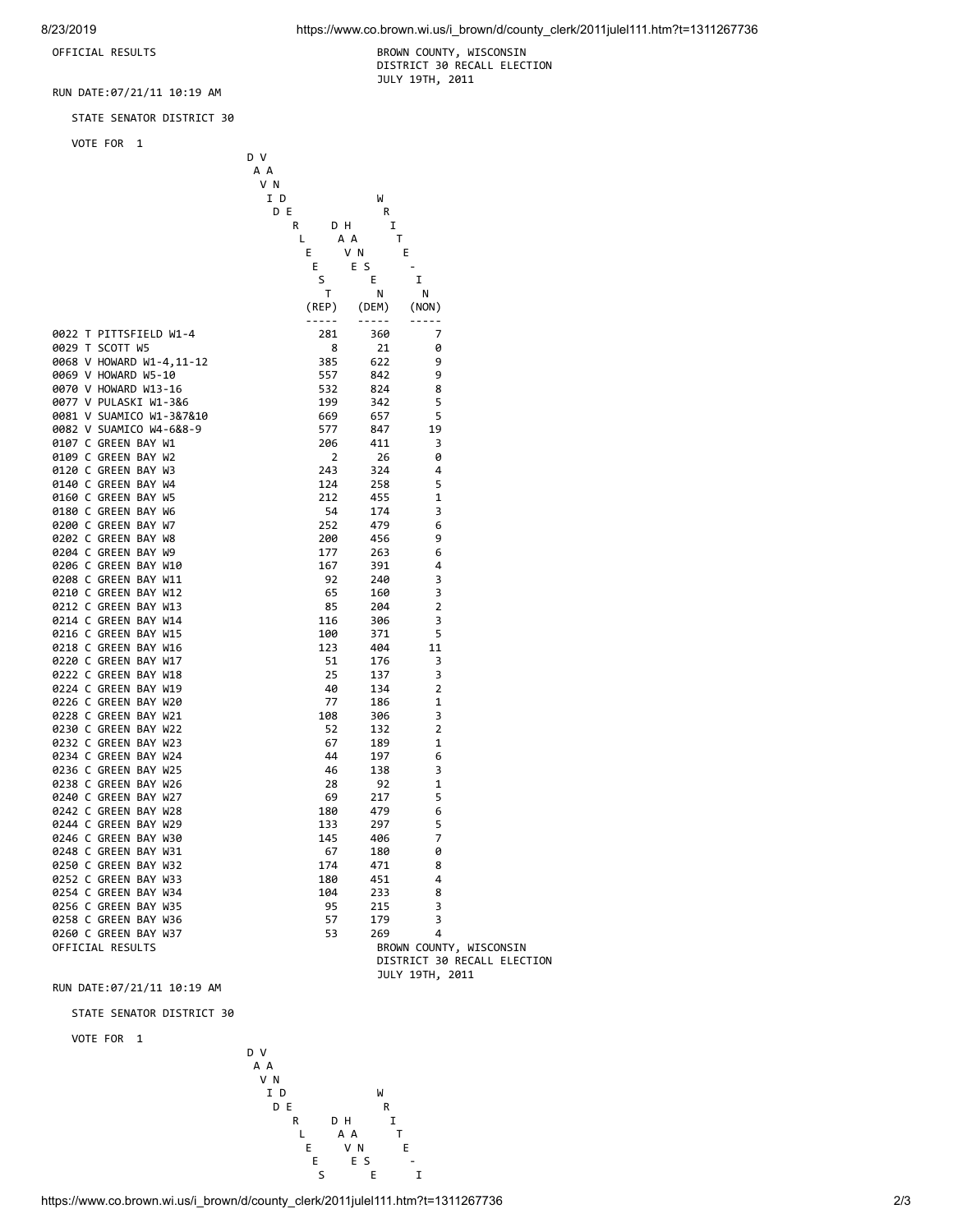OFFICIAL RESULTS BROWN COUNTY, WISCONSIN DISTRICT 30 RECALL ELECTION JULY 19TH, 2011

RUN DATE:07/21/11 10:19 AM

STATE SENATOR DISTRICT 30

VOTE FOR 1

|                          | D V      |          |                 |                             |
|--------------------------|----------|----------|-----------------|-----------------------------|
|                          | A A      |          |                 |                             |
|                          | V N      |          |                 |                             |
|                          | I D      | W        |                 |                             |
|                          | D E      | R        |                 |                             |
|                          | R<br>D H | I        |                 |                             |
|                          | L        | т<br>A A |                 |                             |
|                          | Е        | V N<br>Ε |                 |                             |
|                          | Е        | E S      |                 |                             |
|                          | S        | Ε        | I               |                             |
|                          | т        | Ν        |                 |                             |
|                          |          |          | N               |                             |
|                          | (REP)    | (DEM)    | (NON)           |                             |
|                          | -----    | -----    |                 |                             |
| 0022 T PITTSFIELD W1-4   | 281      | 360      | 7               |                             |
| 0029 T SCOTT W5          | 8        | 21       | 0               |                             |
| 0068 V HOWARD W1-4,11-12 | 385      | 622      | 9               |                             |
| 0069 V HOWARD W5-10      | 557      | 842      | 9               |                             |
| 0070 V HOWARD W13-16     | 532      | 824      | 8               |                             |
| 0077 V PULASKI W1-3&6    | 199      | 342      | 5               |                             |
| 0081 V SUAMICO W1-3&7&10 | 669      | 657      | 5               |                             |
| 0082 V SUAMICO W4-6&8-9  | 577      | 847      | 19              |                             |
| 0107 C GREEN BAY W1      | 206      | 411      | 3               |                             |
| 0109 C GREEN BAY W2      | 2        | 26       | 0               |                             |
| 0120 C GREEN BAY W3      | 243      | 324      | 4               |                             |
| 0140 C GREEN BAY W4      | 124      | 258      | 5               |                             |
| 0160 C GREEN BAY W5      | 212      | 455      | 1               |                             |
| 0180 C GREEN BAY W6      | 54       | 174      | 3               |                             |
| 0200 C GREEN BAY W7      | 252      | 479      | 6               |                             |
| 0202 C GREEN BAY W8      | 200      | 456      | 9               |                             |
| 0204 C GREEN BAY W9      | 177      | 263      | 6               |                             |
| 0206 C GREEN BAY W10     | 167      | 391      | 4               |                             |
| 0208 C GREEN BAY W11     | 92       | 240      | 3               |                             |
| 0210 C GREEN BAY W12     | 65       | 160      | 3               |                             |
| 0212 C GREEN BAY W13     | 85       | 204      | $\overline{2}$  |                             |
| 0214 C GREEN BAY W14     | 116      | 306      | 3               |                             |
| 0216 C GREEN BAY W15     | 100      | 371      | 5               |                             |
| 0218 C GREEN BAY W16     | 123      | 404      | 11              |                             |
| 0220 C GREEN BAY W17     | 51       | 176      | 3               |                             |
| 0222 C GREEN BAY W18     | 25       | 137      | 3               |                             |
| 0224 C GREEN BAY W19     | 40       | 134      | $\overline{2}$  |                             |
| 0226 C GREEN BAY W20     | 77       |          | 1               |                             |
| 0228 C GREEN BAY W21     |          | 186      | 3               |                             |
|                          | 108      | 306      |                 |                             |
| 0230 C GREEN BAY W22     | 52       | 132      | 2               |                             |
| 0232 C GREEN BAY W23     | 67       | 189      | 1               |                             |
| 0234 C GREEN BAY W24     | 44       | 197      | 6               |                             |
| 0236 C GREEN BAY W25     | 46       | 138      | 3               |                             |
| 0238 C GREEN BAY W26     | 28       | 92       | 1               |                             |
| 0240 C GREEN BAY W27     | 69       | 217      | 5               |                             |
| 0242 C GREEN BAY W28     | 180      | 479      | 6               |                             |
| 0244 C GREEN BAY W29     | 133      | 297      | 5               |                             |
| 0246 C GREEN BAY W30     | 145      | 406      | 7               |                             |
| 0248 C GREEN BAY W31     | 67       | 180      | 0               |                             |
| 0250 C GREEN BAY W32     | 174      | 471      | 8               |                             |
| 0252 C GREEN BAY W33     | 180      | 451      | 4               |                             |
| 0254 C GREEN BAY W34     | 104      | 233      | 8               |                             |
| 0256 C GREEN BAY W35     | 95       | 215      | 3               |                             |
| 0258 C GREEN BAY W36     | 57       | 179      | 3               |                             |
| 0260 C GREEN BAY W37     | 53       | 269      | 4               |                             |
| OFFICIAL RESULTS         |          |          |                 | BROWN COUNTY, WISCONSIN     |
|                          |          |          |                 | DISTRICT 30 RECALL ELECTION |
|                          |          |          | JULY 19TH, 2011 |                             |

RUN DATE:07/21/11 10:19 AM

STATE SENATOR DISTRICT 30

VOTE FOR 1